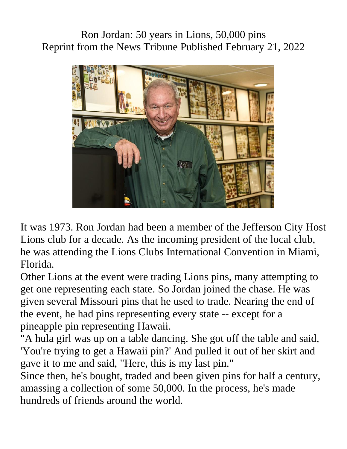Ron Jordan: 50 years in Lions, 50,000 pins Reprint from the News Tribune Published February 21, 2022



It was 1973. Ron Jordan had been a member of the Jefferson City Host Lions club for a decade. As the incoming president of the local club, he was attending the Lions Clubs International Convention in Miami, Florida.

Other Lions at the event were trading Lions pins, many attempting to get one representing each state. So Jordan joined the chase. He was given several Missouri pins that he used to trade. Nearing the end of the event, he had pins representing every state -- except for a pineapple pin representing Hawaii.

"A hula girl was up on a table dancing. She got off the table and said, 'You're trying to get a Hawaii pin?' And pulled it out of her skirt and gave it to me and said, "Here, this is my last pin."

Since then, he's bought, traded and been given pins for half a century, amassing a collection of some 50,000. In the process, he's made hundreds of friends around the world.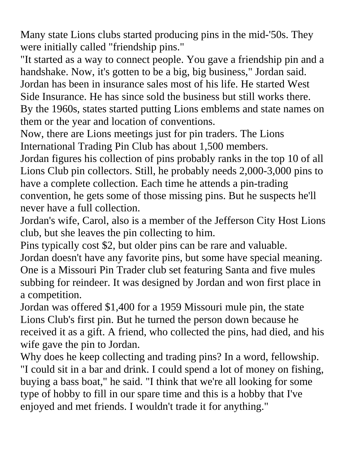Many state Lions clubs started producing pins in the mid-'50s. They were initially called "friendship pins."

"It started as a way to connect people. You gave a friendship pin and a handshake. Now, it's gotten to be a big, big business," Jordan said. Jordan has been in insurance sales most of his life. He started West Side Insurance. He has since sold the business but still works there. By the 1960s, states started putting Lions emblems and state names on

them or the year and location of conventions.

Now, there are Lions meetings just for pin traders. The Lions International Trading Pin Club has about 1,500 members.

Jordan figures his collection of pins probably ranks in the top 10 of all Lions Club pin collectors. Still, he probably needs 2,000-3,000 pins to have a complete collection. Each time he attends a pin-trading convention, he gets some of those missing pins. But he suspects he'll never have a full collection.

Jordan's wife, Carol, also is a member of the Jefferson City Host Lions club, but she leaves the pin collecting to him.

Pins typically cost \$2, but older pins can be rare and valuable.

Jordan doesn't have any favorite pins, but some have special meaning. One is a Missouri Pin Trader club set featuring Santa and five mules subbing for reindeer. It was designed by Jordan and won first place in a competition.

Jordan was offered \$1,400 for a 1959 Missouri mule pin, the state Lions Club's first pin. But he turned the person down because he received it as a gift. A friend, who collected the pins, had died, and his wife gave the pin to Jordan.

Why does he keep collecting and trading pins? In a word, fellowship. "I could sit in a bar and drink. I could spend a lot of money on fishing, buying a bass boat," he said. "I think that we're all looking for some type of hobby to fill in our spare time and this is a hobby that I've enjoyed and met friends. I wouldn't trade it for anything."